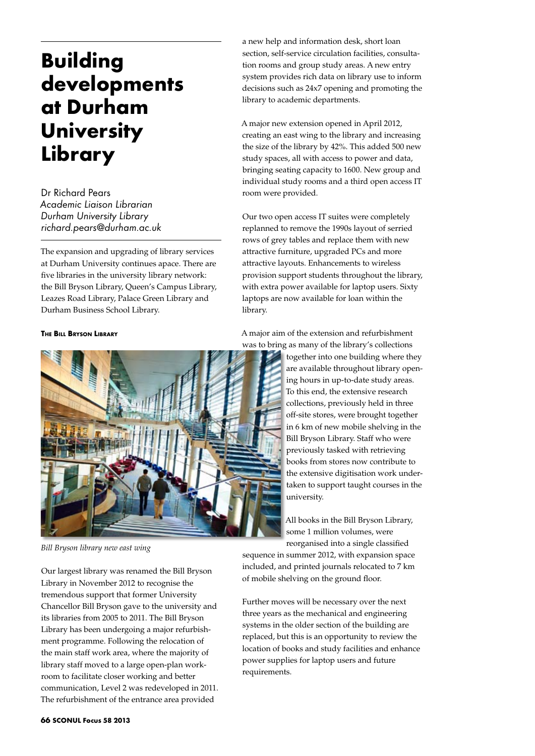# **Building developments at Durham University Library**

Dr Richard Pears *Academic Liaison Librarian Durham University Library richard.pears@durham.ac.uk*

The expansion and upgrading of library services at Durham University continues apace. There are five libraries in the university library network: the Bill Bryson Library, Queen's Campus Library, Leazes Road Library, Palace Green Library and Durham Business School Library.

#### **The Bill Bryson Library**



*Bill Bryson library new east wing*

Our largest library was renamed the Bill Bryson Library in November 2012 to recognise the tremendous support that former University Chancellor Bill Bryson gave to the university and its libraries from 2005 to 2011. The Bill Bryson Library has been undergoing a major refurbishment programme. Following the relocation of the main staff work area, where the majority of library staff moved to a large open-plan workroom to facilitate closer working and better communication, Level 2 was redeveloped in 2011. The refurbishment of the entrance area provided

a new help and information desk, short loan section, self-service circulation facilities, consultation rooms and group study areas. A new entry system provides rich data on library use to inform decisions such as 24x7 opening and promoting the library to academic departments.

A major new extension opened in April 2012, creating an east wing to the library and increasing the size of the library by 42%. This added 500 new study spaces, all with access to power and data, bringing seating capacity to 1600. New group and individual study rooms and a third open access IT room were provided.

Our two open access IT suites were completely replanned to remove the 1990s layout of serried rows of grey tables and replace them with new attractive furniture, upgraded PCs and more attractive layouts. Enhancements to wireless provision support students throughout the library, with extra power available for laptop users. Sixty laptops are now available for loan within the library.

A major aim of the extension and refurbishment

was to bring as many of the library's collections together into one building where they are available throughout library opening hours in up-to-date study areas. To this end, the extensive research collections, previously held in three off-site stores, were brought together in 6 km of new mobile shelving in the Bill Bryson Library. Staff who were previously tasked with retrieving books from stores now contribute to the extensive digitisation work undertaken to support taught courses in the university.

> All books in the Bill Bryson Library, some 1 million volumes, were reorganised into a single classified

sequence in summer 2012, with expansion space included, and printed journals relocated to 7 km of mobile shelving on the ground floor.

Further moves will be necessary over the next three years as the mechanical and engineering systems in the older section of the building are replaced, but this is an opportunity to review the location of books and study facilities and enhance power supplies for laptop users and future requirements.